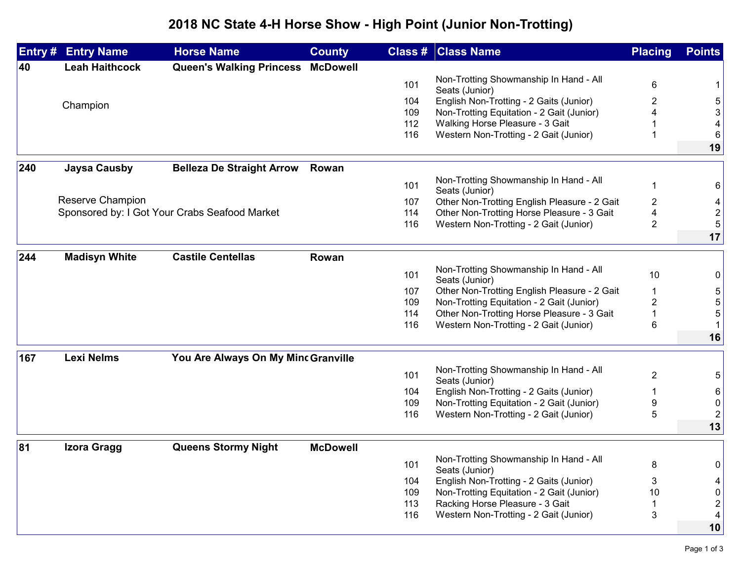## **2018 NC State 4-H Horse Show - High Point (Junior Non-Trotting)**

| Entry # | <b>Entry Name</b>     | <b>Horse Name</b>                             | <b>County</b>   |     | <b>Class # Class Name</b>                                | <b>Placing</b> | <b>Points</b>           |
|---------|-----------------------|-----------------------------------------------|-----------------|-----|----------------------------------------------------------|----------------|-------------------------|
| 40      | <b>Leah Haithcock</b> | Queen's Walking Princess McDowell             |                 |     |                                                          |                |                         |
|         |                       |                                               |                 | 101 | Non-Trotting Showmanship In Hand - All                   | 6              | 1                       |
|         |                       |                                               |                 |     | Seats (Junior)                                           |                |                         |
|         | Champion              |                                               |                 | 104 | English Non-Trotting - 2 Gaits (Junior)                  | 2              | 5                       |
|         |                       |                                               |                 | 109 | Non-Trotting Equitation - 2 Gait (Junior)                |                | 3                       |
|         |                       |                                               |                 | 112 | Walking Horse Pleasure - 3 Gait                          |                | 4                       |
|         |                       |                                               |                 | 116 | Western Non-Trotting - 2 Gait (Junior)                   |                | 6<br>19                 |
|         |                       |                                               |                 |     |                                                          |                |                         |
| 240     | <b>Jaysa Causby</b>   | <b>Belleza De Straight Arrow</b>              | Rowan           |     |                                                          |                |                         |
|         |                       |                                               |                 | 101 | Non-Trotting Showmanship In Hand - All<br>Seats (Junior) | $\mathbf 1$    | 6                       |
|         | Reserve Champion      |                                               |                 | 107 | Other Non-Trotting English Pleasure - 2 Gait             | $\overline{2}$ | 4                       |
|         |                       | Sponsored by: I Got Your Crabs Seafood Market |                 | 114 | Other Non-Trotting Horse Pleasure - 3 Gait               | 4              | $\boldsymbol{2}$        |
|         |                       |                                               |                 | 116 | Western Non-Trotting - 2 Gait (Junior)                   | $\overline{2}$ | 5                       |
|         |                       |                                               |                 |     |                                                          |                | 17                      |
| 244     | <b>Madisyn White</b>  | <b>Castile Centellas</b>                      | Rowan           |     |                                                          |                |                         |
|         |                       |                                               |                 |     | Non-Trotting Showmanship In Hand - All                   |                |                         |
|         |                       |                                               |                 | 101 | Seats (Junior)                                           | 10             | 0                       |
|         |                       |                                               |                 | 107 | Other Non-Trotting English Pleasure - 2 Gait             | 1              | $\sqrt{5}$              |
|         |                       |                                               |                 | 109 | Non-Trotting Equitation - 2 Gait (Junior)                | $\overline{2}$ | 5                       |
|         |                       |                                               |                 | 114 | Other Non-Trotting Horse Pleasure - 3 Gait               | 1              | 5                       |
|         |                       |                                               |                 | 116 | Western Non-Trotting - 2 Gait (Junior)                   | 6              | $\mathbf{1}$            |
|         |                       |                                               |                 |     |                                                          |                | 16                      |
| 167     | <b>Lexi Nelms</b>     | You Are Always On My Minc Granville           |                 |     |                                                          |                |                         |
|         |                       |                                               |                 | 101 | Non-Trotting Showmanship In Hand - All<br>Seats (Junior) | $\overline{2}$ | 5                       |
|         |                       |                                               |                 | 104 | English Non-Trotting - 2 Gaits (Junior)                  | 1              | 6                       |
|         |                       |                                               |                 | 109 | Non-Trotting Equitation - 2 Gait (Junior)                | 9              | $\pmb{0}$               |
|         |                       |                                               |                 | 116 | Western Non-Trotting - 2 Gait (Junior)                   | 5              | $\sqrt{2}$              |
|         |                       |                                               |                 |     |                                                          |                | 13                      |
| 81      | Izora Gragg           | <b>Queens Stormy Night</b>                    | <b>McDowell</b> |     |                                                          |                |                         |
|         |                       |                                               |                 |     | Non-Trotting Showmanship In Hand - All                   |                |                         |
|         |                       |                                               |                 | 101 | Seats (Junior)                                           | 8              | 0                       |
|         |                       |                                               |                 | 104 | English Non-Trotting - 2 Gaits (Junior)                  | 3              | 4                       |
|         |                       |                                               |                 | 109 | Non-Trotting Equitation - 2 Gait (Junior)                | 10             | 0                       |
|         |                       |                                               |                 | 113 | Racking Horse Pleasure - 3 Gait                          |                | $\overline{\mathbf{c}}$ |
|         |                       |                                               |                 | 116 | Western Non-Trotting - 2 Gait (Junior)                   | 3              | $\overline{\mathbf{4}}$ |
|         |                       |                                               |                 |     |                                                          |                | 10                      |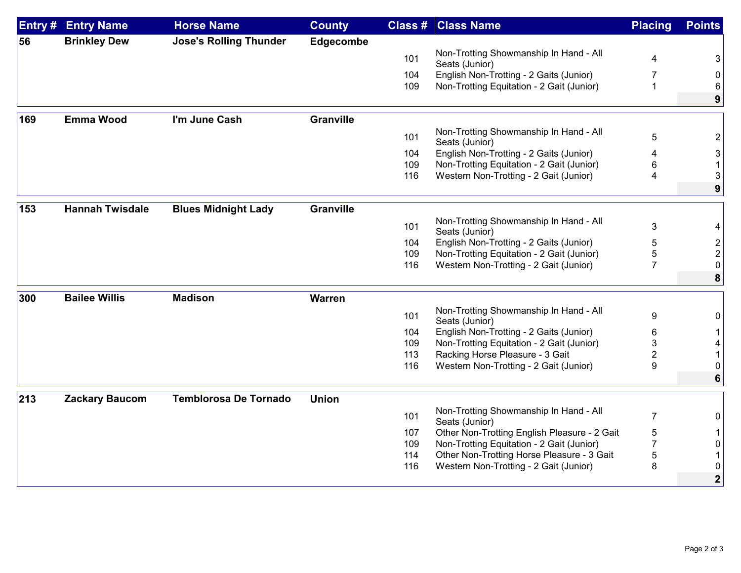| <b>Brinkley Dew</b><br><b>Jose's Rolling Thunder</b><br>Edgecombe<br>56<br>Non-Trotting Showmanship In Hand - All<br>101<br>4<br>Seats (Junior)<br>English Non-Trotting - 2 Gaits (Junior)<br>104<br>7<br>Non-Trotting Equitation - 2 Gait (Junior)<br>$\mathbf{1}$<br>109 | 3<br>9      |
|----------------------------------------------------------------------------------------------------------------------------------------------------------------------------------------------------------------------------------------------------------------------------|-------------|
|                                                                                                                                                                                                                                                                            |             |
|                                                                                                                                                                                                                                                                            |             |
|                                                                                                                                                                                                                                                                            |             |
|                                                                                                                                                                                                                                                                            |             |
|                                                                                                                                                                                                                                                                            |             |
| 169<br><b>Emma Wood</b><br>I'm June Cash<br><b>Granville</b>                                                                                                                                                                                                               |             |
| Non-Trotting Showmanship In Hand - All<br>101<br>5<br>Seats (Junior)                                                                                                                                                                                                       | 2           |
| English Non-Trotting - 2 Gaits (Junior)<br>104<br>4                                                                                                                                                                                                                        | 3           |
| Non-Trotting Equitation - 2 Gait (Junior)<br>109<br>6                                                                                                                                                                                                                      |             |
| Western Non-Trotting - 2 Gait (Junior)<br>116<br>4                                                                                                                                                                                                                         | 3           |
|                                                                                                                                                                                                                                                                            | 9           |
| <b>Hannah Twisdale</b><br><b>Blues Midnight Lady</b><br><b>Granville</b><br>153                                                                                                                                                                                            |             |
| Non-Trotting Showmanship In Hand - All<br>101<br>$\mathfrak{B}$<br>Seats (Junior)                                                                                                                                                                                          |             |
| 104<br>English Non-Trotting - 2 Gaits (Junior)<br>5                                                                                                                                                                                                                        |             |
| Non-Trotting Equitation - 2 Gait (Junior)<br>5<br>109                                                                                                                                                                                                                      |             |
| $\overline{7}$<br>116<br>Western Non-Trotting - 2 Gait (Junior)                                                                                                                                                                                                            |             |
|                                                                                                                                                                                                                                                                            | 8           |
| <b>Bailee Willis</b><br><b>Madison</b><br>300<br><b>Warren</b>                                                                                                                                                                                                             |             |
| Non-Trotting Showmanship In Hand - All<br>9<br>101<br>Seats (Junior)                                                                                                                                                                                                       |             |
| English Non-Trotting - 2 Gaits (Junior)<br>104<br>6                                                                                                                                                                                                                        |             |
| 109<br>Non-Trotting Equitation - 2 Gait (Junior)<br>3                                                                                                                                                                                                                      |             |
| 113<br>Racking Horse Pleasure - 3 Gait<br>$\overline{2}$                                                                                                                                                                                                                   |             |
| 116<br>Western Non-Trotting - 2 Gait (Junior)<br>9                                                                                                                                                                                                                         |             |
|                                                                                                                                                                                                                                                                            | 6           |
| 213<br><b>Temblorosa De Tornado</b><br><b>Union</b><br><b>Zackary Baucom</b>                                                                                                                                                                                               |             |
| Non-Trotting Showmanship In Hand - All<br>$\overline{7}$<br>101<br>Seats (Junior)                                                                                                                                                                                          |             |
| 107<br>Other Non-Trotting English Pleasure - 2 Gait<br>5                                                                                                                                                                                                                   |             |
| 109<br>Non-Trotting Equitation - 2 Gait (Junior)<br>7                                                                                                                                                                                                                      | 0           |
| Other Non-Trotting Horse Pleasure - 3 Gait<br>114<br>5                                                                                                                                                                                                                     |             |
| Western Non-Trotting - 2 Gait (Junior)<br>116<br>8                                                                                                                                                                                                                         |             |
|                                                                                                                                                                                                                                                                            | $\mathbf 2$ |